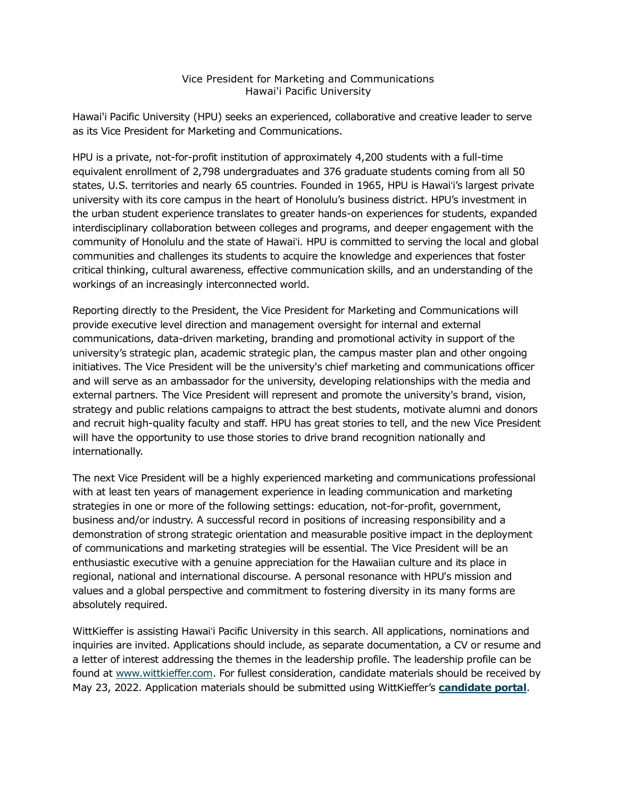## Vice President for Marketing and Communications Hawai'i Pacific University

Hawai'i Pacific University (HPU) seeks an experienced, collaborative and creative leader to serve as its Vice President for Marketing and Communications.

HPU is a private, not-for-profit institution of approximately 4,200 students with a full-time equivalent enrollment of 2,798 undergraduates and 376 graduate students coming from all 50 states, U.S. territories and nearly 65 countries. Founded in 1965, HPU is Hawaiʻi's largest private university with its core campus in the heart of Honolulu's business district. HPU's investment in the urban student experience translates to greater hands-on experiences for students, expanded interdisciplinary collaboration between colleges and programs, and deeper engagement with the community of Honolulu and the state of Hawaiʻi. HPU is committed to serving the local and global communities and challenges its students to acquire the knowledge and experiences that foster critical thinking, cultural awareness, effective communication skills, and an understanding of the workings of an increasingly interconnected world.

Reporting directly to the President, the Vice President for Marketing and Communications will provide executive level direction and management oversight for internal and external communications, data-driven marketing, branding and promotional activity in support of the university's strategic plan, academic strategic plan, the campus master plan and other ongoing initiatives. The Vice President will be the university's chief marketing and communications officer and will serve as an ambassador for the university, developing relationships with the media and external partners. The Vice President will represent and promote the university's brand, vision, strategy and public relations campaigns to attract the best students, motivate alumni and donors and recruit high-quality faculty and staff. HPU has great stories to tell, and the new Vice President will have the opportunity to use those stories to drive brand recognition nationally and internationally.

The next Vice President will be a highly experienced marketing and communications professional with at least ten years of management experience in leading communication and marketing strategies in one or more of the following settings: education, not-for-profit, government, business and/or industry. A successful record in positions of increasing responsibility and a demonstration of strong strategic orientation and measurable positive impact in the deployment of communications and marketing strategies will be essential. The Vice President will be an enthusiastic executive with a genuine appreciation for the Hawaiian culture and its place in regional, national and international discourse. A personal resonance with HPU's mission and values and a global perspective and commitment to fostering diversity in its many forms are absolutely required.

WittKieffer is assisting Hawaiʻi Pacific University in this search. All applications, nominations and inquiries are invited. Applications should include, as separate documentation, a CV or resume and a letter of interest addressing the themes in the leadership profile. The leadership profile can be found at [www.wittkieffer.com.](https://www.wittkieffer.com/position/23452-vice-president-for-marketing-and-communications/) For fullest consideration, candidate materials should be received by May 23, 2022. Application materials should be submitted using WittKieffer's **[candidate portal](https://candidateportal.wittkieffer.com/description?jobID=23452)**.